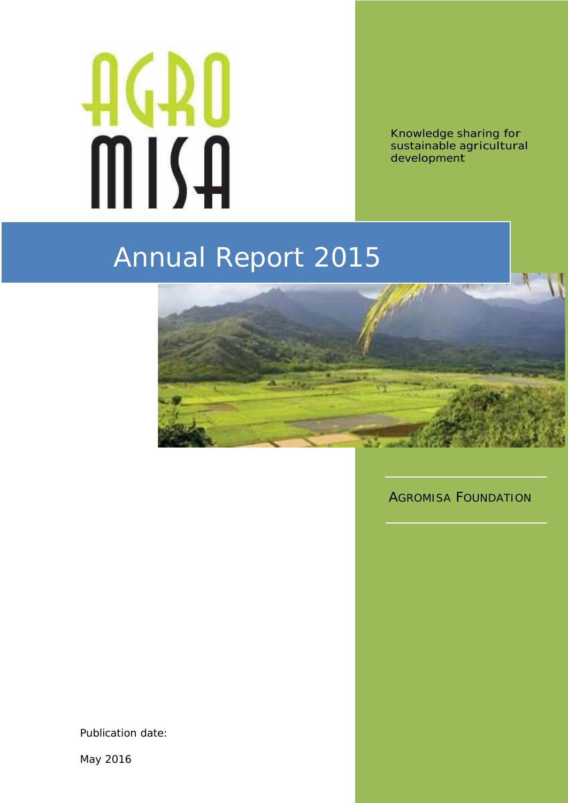# AGAO MISA

Knowledge sharing for sustainable agricultural development

# Annual Report 2015



Publication date:

May 2016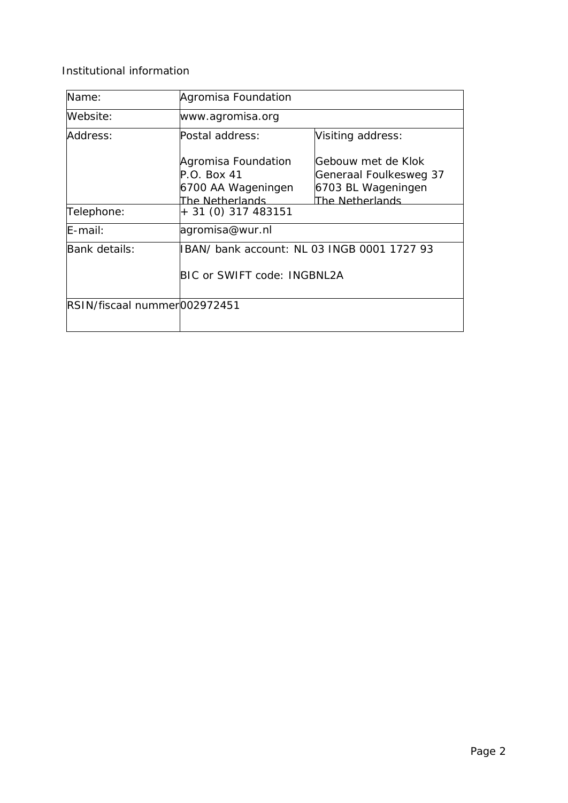Institutional information

| Name:                        | Agromisa Foundation                                                           |                                                                                       |  |  |
|------------------------------|-------------------------------------------------------------------------------|---------------------------------------------------------------------------------------|--|--|
| Website:                     | www.agromisa.org                                                              |                                                                                       |  |  |
| Address:                     | Postal address:                                                               | Visiting address:                                                                     |  |  |
|                              | Agromisa Foundation<br>$P.O.$ Box 41<br>6700 AA Wageningen<br>The Netherlands | Gebouw met de Klok<br>Generaal Foulkesweg 37<br>6703 BL Wageningen<br>The Netherlands |  |  |
| Telephone:                   | + 31 (0) 317 483151                                                           |                                                                                       |  |  |
| $E$ -mail:                   | agromisa@wur.nl                                                               |                                                                                       |  |  |
| Bank details:                | IBAN/ bank account: NL 03 INGB 0001 1727 93<br>BIC or SWIFT code: INGBNL2A    |                                                                                       |  |  |
| RSIN/fiscaal nummer002972451 |                                                                               |                                                                                       |  |  |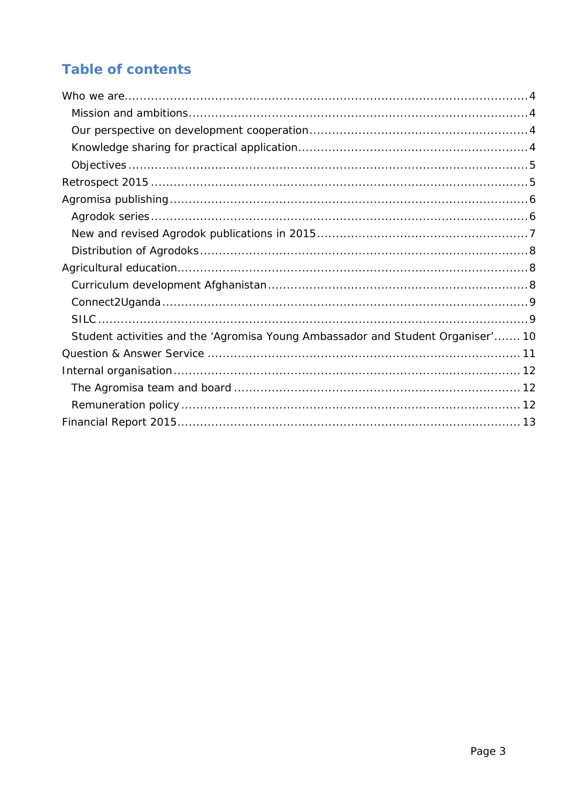# **Table of contents**

<span id="page-2-0"></span>

| Student activities and the 'Agromisa Young Ambassador and Student Organiser' 10 |  |
|---------------------------------------------------------------------------------|--|
|                                                                                 |  |
|                                                                                 |  |
|                                                                                 |  |
|                                                                                 |  |
|                                                                                 |  |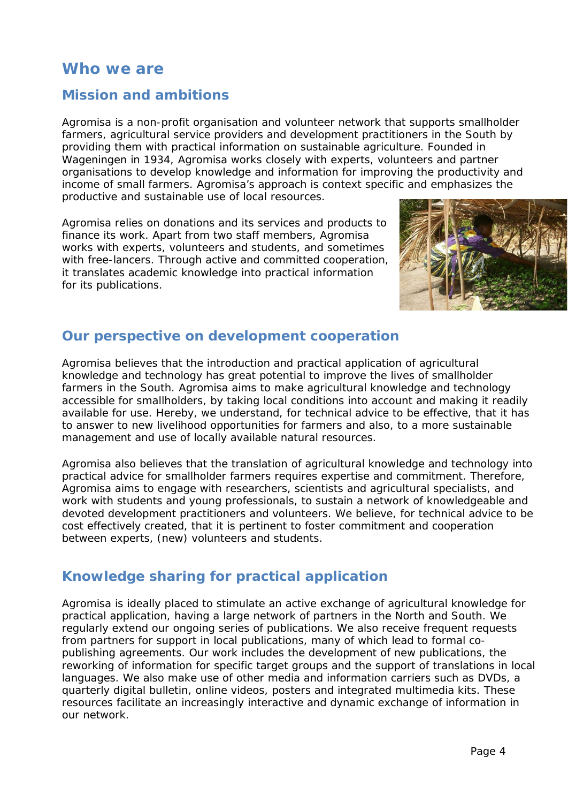# **Who we are**

# <span id="page-3-0"></span>*Mission and ambitions*

Agromisa is a non-profit organisation and volunteer network that supports smallholder farmers, agricultural service providers and development practitioners in the South by providing them with practical information on sustainable agriculture. Founded in Wageningen in 1934, Agromisa works closely with experts, volunteers and partner organisations to develop knowledge and information for improving the productivity and income of small farmers. Agromisa's approach is context specific and emphasizes the productive and sustainable use of local resources.

Agromisa relies on donations and its services and products to finance its work. Apart from two staff members, Agromisa works with experts, volunteers and students, and sometimes with free-lancers. Through active and committed cooperation, it translates academic knowledge into practical information for its publications.



# <span id="page-3-1"></span>*Our perspective on development cooperation*

Agromisa believes that the introduction and practical application of agricultural knowledge and technology has great potential to improve the lives of smallholder farmers in the South. Agromisa aims to make agricultural knowledge and technology accessible for smallholders, by taking local conditions into account and making it readily available for use. Hereby, we understand, for technical advice to be effective, that it has to answer to new livelihood opportunities for farmers and also, to a more sustainable management and use of locally available natural resources.

Agromisa also believes that the translation of agricultural knowledge and technology into practical advice for smallholder farmers requires expertise and commitment. Therefore, Agromisa aims to engage with researchers, scientists and agricultural specialists, and work with students and young professionals, to sustain a network of knowledgeable and devoted development practitioners and volunteers. We believe, for technical advice to be cost effectively created, that it is pertinent to foster commitment and cooperation between experts, (new) volunteers and students.

# <span id="page-3-2"></span>*Knowledge sharing for practical application*

Agromisa is ideally placed to stimulate an active exchange of agricultural knowledge for practical application, having a large network of partners in the North and South. We regularly extend our ongoing series of publications. We also receive frequent requests from partners for support in local publications, many of which lead to formal copublishing agreements. Our work includes the development of new publications, the reworking of information for specific target groups and the support of translations in local languages. We also make use of other media and information carriers such as DVDs, a quarterly digital bulletin, online videos, posters and integrated multimedia kits. These resources facilitate an increasingly interactive and dynamic exchange of information in our network.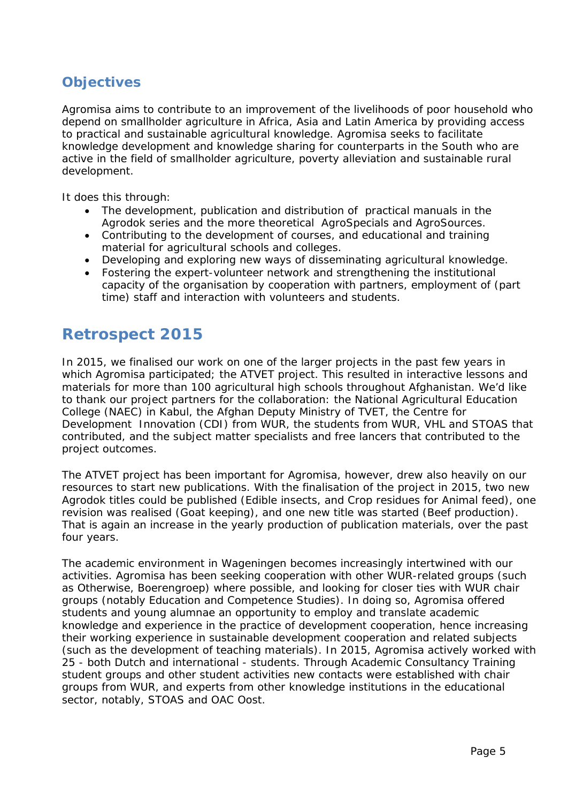# <span id="page-4-0"></span>*Objectives*

Agromisa aims to contribute to an improvement of the livelihoods of poor household who depend on smallholder agriculture in Africa, Asia and Latin America by providing access to practical and sustainable agricultural knowledge. Agromisa seeks to facilitate knowledge development and knowledge sharing for counterparts in the South who are active in the field of smallholder agriculture, poverty alleviation and sustainable rural development.

It does this through:

- The development, publication and distribution of practical manuals in the Agrodok series and the more theoretical AgroSpecials and AgroSources.
- Contributing to the development of courses, and educational and training material for agricultural schools and colleges.
- Developing and exploring new ways of disseminating agricultural knowledge.
- Fostering the expert-volunteer network and strengthening the institutional capacity of the organisation by cooperation with partners, employment of (part time) staff and interaction with volunteers and students.

# <span id="page-4-1"></span>**Retrospect 2015**

In 2015, we finalised our work on one of the larger projects in the past few years in which Agromisa participated; the ATVET project. This resulted in interactive lessons and materials for more than 100 agricultural high schools throughout Afghanistan. We'd like to thank our project partners for the collaboration: the National Agricultural Education College (NAEC) in Kabul, the Afghan Deputy Ministry of TVET, the Centre for Development Innovation (CDI) from WUR, the students from WUR, VHL and STOAS that contributed, and the subject matter specialists and free lancers that contributed to the project outcomes.

The ATVET project has been important for Agromisa, however, drew also heavily on our resources to start new publications. With the finalisation of the project in 2015, two new Agrodok titles could be published (Edible insects, and Crop residues for Animal feed), one revision was realised (Goat keeping), and one new title was started (Beef production). That is again an increase in the yearly production of publication materials, over the past four years.

The academic environment in Wageningen becomes increasingly intertwined with our activities. Agromisa has been seeking cooperation with other WUR-related groups (such as Otherwise, Boerengroep) where possible, and looking for closer ties with WUR chair groups (notably Education and Competence Studies). In doing so, Agromisa offered students and young alumnae an opportunity to employ and translate academic knowledge and experience in the practice of development cooperation, hence increasing their working experience in sustainable development cooperation and related subjects (such as the development of teaching materials). In 2015, Agromisa actively worked with 25 - both Dutch and international - students. Through *Academic Consultancy Training* student groups and other student activities new contacts were established with chair groups from WUR, and experts from other knowledge institutions in the educational sector, notably, STOAS and OAC Oost.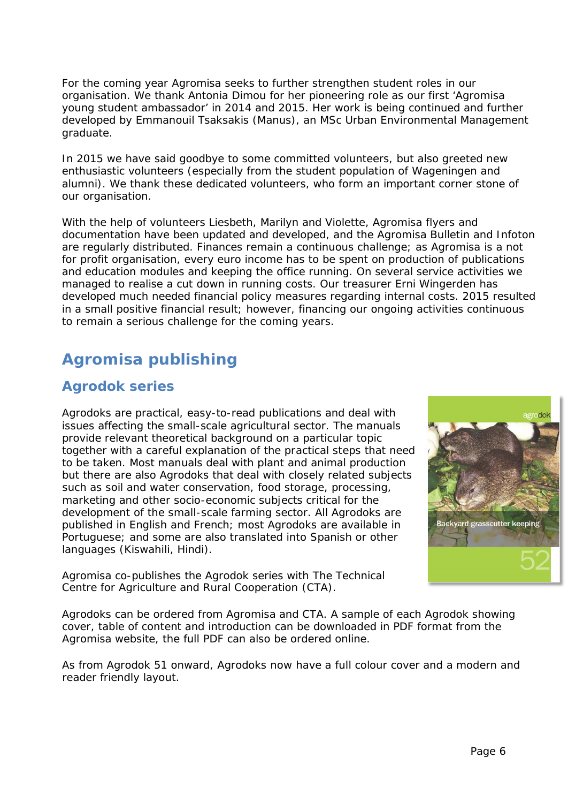For the coming year Agromisa seeks to further strengthen student roles in our organisation. We thank Antonia Dimou for her pioneering role as our first 'Agromisa young student ambassador' in 2014 and 2015. Her work is being continued and further developed by Emmanouil Tsaksakis (Manus), an MSc Urban Environmental Management graduate.

In 2015 we have said goodbye to some committed volunteers, but also greeted new enthusiastic volunteers (especially from the student population of Wageningen and alumni). We thank these dedicated volunteers, who form an important corner stone of our organisation.

With the help of volunteers Liesbeth, Marilyn and Violette, Agromisa flyers and documentation have been updated and developed, and the Agromisa Bulletin and Infoton are regularly distributed. Finances remain a continuous challenge; as Agromisa is a not for profit organisation, every euro income has to be spent on production of publications and education modules and keeping the office running. On several service activities we managed to realise a cut down in running costs. Our treasurer Erni Wingerden has developed much needed financial policy measures regarding internal costs. 2015 resulted in a small positive financial result; however, financing our ongoing activities continuous to remain a serious challenge for the coming years.

# <span id="page-5-0"></span>**Agromisa publishing**

# <span id="page-5-1"></span>*Agrodok series*

Agrodoks are practical, easy-to-read publications and deal with issues affecting the small-scale agricultural sector. The manuals provide relevant theoretical background on a particular topic together with a careful explanation of the practical steps that need to be taken. Most manuals deal with plant and animal production but there are also Agrodoks that deal with closely related subjects such as soil and water conservation, food storage, processing, marketing and other socio-economic subjects critical for the development of the small-scale farming sector. All Agrodoks are published in English and French; most Agrodoks are available in Portuguese; and some are also translated into Spanish or other languages (Kiswahili, Hindi).

Agromisa co-publishes the Agrodok series with The Technical Centre for Agriculture and Rural Cooperation (CTA).



Agrodoks can be ordered from Agromisa and CTA. A sample of each Agrodok showing cover, table of content and introduction can be downloaded in PDF format from the Agromisa website, the full PDF can also be ordered online.

As from Agrodok 51 onward, Agrodoks now have a full colour cover and a modern and reader friendly layout.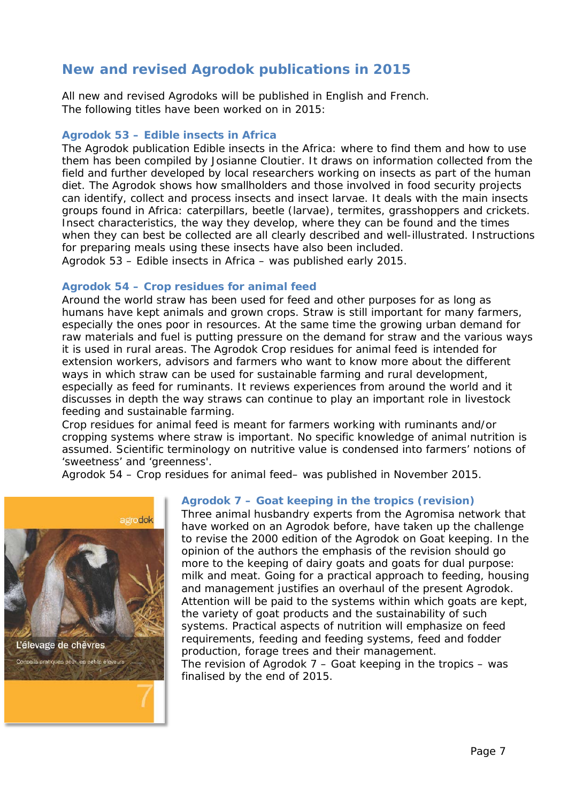# <span id="page-6-0"></span>*New and revised Agrodok publications in 2015*

All new and revised Agrodoks will be published in English and French. The following titles have been worked on in 2015:

### **Agrodok 53 – Edible insects in Africa**

The Agrodok publication *Edible insects in the Africa: where to find them and how to use them* has been compiled by Josianne Cloutier. It draws on information collected from the field and further developed by local researchers working on insects as part of the human diet. The Agrodok shows how smallholders and those involved in food security projects can identify, collect and process insects and insect larvae. It deals with the main insects groups found in Africa: caterpillars, beetle (larvae), termites, grasshoppers and crickets. Insect characteristics, the way they develop, where they can be found and the times when they can best be collected are all clearly described and well-illustrated. Instructions for preparing meals using these insects have also been included. Agrodok 53 – Edible insects in Africa – was published early 2015.

### **Agrodok 54 – Crop residues for animal feed**

Around the world straw has been used for feed and other purposes for as long as humans have kept animals and grown crops. Straw is still important for many farmers, especially the ones poor in resources. At the same time the growing urban demand for raw materials and fuel is putting pressure on the demand for straw and the various ways it is used in rural areas. The Agrodok *Crop residues for animal feed* is intended for extension workers, advisors and farmers who want to know more about the different ways in which straw can be used for sustainable farming and rural development, especially as feed for ruminants. It reviews experiences from around the world and it discusses in depth the way straws can continue to play an important role in livestock feeding and sustainable farming.

*Crop residues for animal feed* is meant for farmers working with ruminants and/or cropping systems where straw is important. No specific knowledge of animal nutrition is assumed. Scientific terminology on nutritive value is condensed into farmers' notions of 'sweetness' and 'greenness'.

Agrodok 54 – Crop residues for animal feed– was published in November 2015.



### **Agrodok 7 – Goat keeping in the tropics (revision)**

Three animal husbandry experts from the Agromisa network that have worked on an Agrodok before, have taken up the challenge to revise the 2000 edition of the Agrodok on Goat keeping. In the opinion of the authors the emphasis of the revision should go more to the keeping of dairy goats and goats for dual purpose: milk and meat. Going for a practical approach to feeding, housing and management justifies an overhaul of the present Agrodok. Attention will be paid to the systems within which goats are kept, the variety of goat products and the sustainability of such systems. Practical aspects of nutrition will emphasize on feed requirements, feeding and feeding systems, feed and fodder production, forage trees and their management.

The revision of Agrodok  $7 -$  Goat keeping in the tropics  $-$  was finalised by the end of 2015.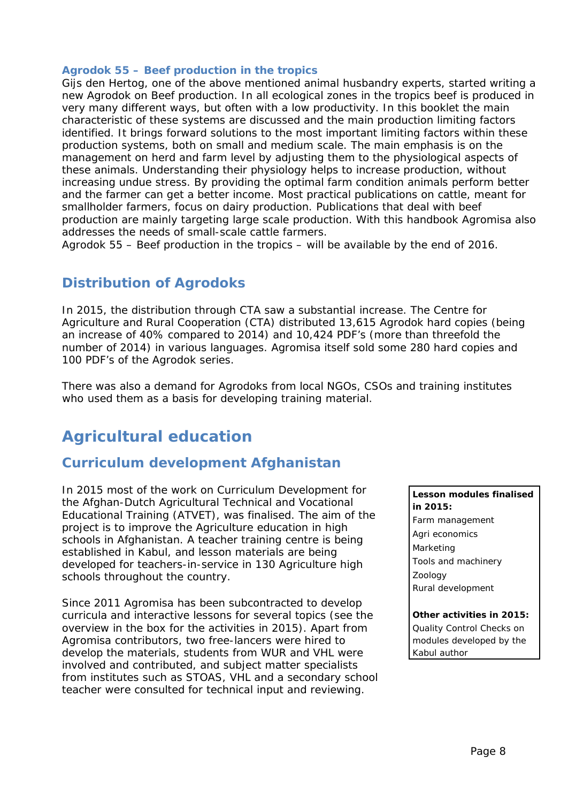### **Agrodok 55 – Beef production in the tropics**

Gijs den Hertog, one of the above mentioned animal husbandry experts, started writing a new Agrodok on Beef production. In all ecological zones in the tropics beef is produced in very many different ways, but often with a low productivity. In this booklet the main characteristic of these systems are discussed and the main production limiting factors identified. It brings forward solutions to the most important limiting factors within these production systems, both on small and medium scale. The main emphasis is on the management on herd and farm level by adjusting them to the physiological aspects of these animals. Understanding their physiology helps to increase production, without increasing undue stress. By providing the optimal farm condition animals perform better and the farmer can get a better income. Most practical publications on cattle, meant for smallholder farmers, focus on dairy production. Publications that deal with beef production are mainly targeting large scale production. With this handbook Agromisa also addresses the needs of small-scale cattle farmers.

Agrodok 55 – Beef production in the tropics – will be available by the end of 2016.

# <span id="page-7-0"></span>*Distribution of Agrodoks*

In 2015, the distribution through CTA saw a substantial increase. The Centre for Agriculture and Rural Cooperation (CTA) distributed 13,615 Agrodok hard copies (being an increase of 40% compared to 2014) and 10,424 PDF's (more than threefold the number of 2014) in various languages. Agromisa itself sold some 280 hard copies and 100 PDF's of the Agrodok series.

There was also a demand for Agrodoks from local NGOs, CSOs and training institutes who used them as a basis for developing training material.

# <span id="page-7-1"></span>**Agricultural education**

# <span id="page-7-2"></span>*Curriculum development Afghanistan*

In 2015 most of the work on Curriculum Development for the Afghan-Dutch Agricultural Technical and Vocational Educational Training (ATVET), was finalised. The aim of the project is to improve the Agriculture education in high schools in Afghanistan. A teacher training centre is being established in Kabul, and lesson materials are being developed for teachers-in-service in 130 Agriculture high schools throughout the country.

Since 2011 Agromisa has been subcontracted to develop curricula and interactive lessons for several topics (see the overview in the box for the activities in 2015). Apart from Agromisa contributors, two free-lancers were hired to develop the materials, students from WUR and VHL were involved and contributed, and subject matter specialists from institutes such as STOAS, VHL and a secondary school teacher were consulted for technical input and reviewing.

### **Lesson modules finalised in 2015:**

Farm management Agri economics Marketing Tools and machinery Zoology Rural development

### **Other activities in 2015:**

Quality Control Checks on modules developed by the Kabul author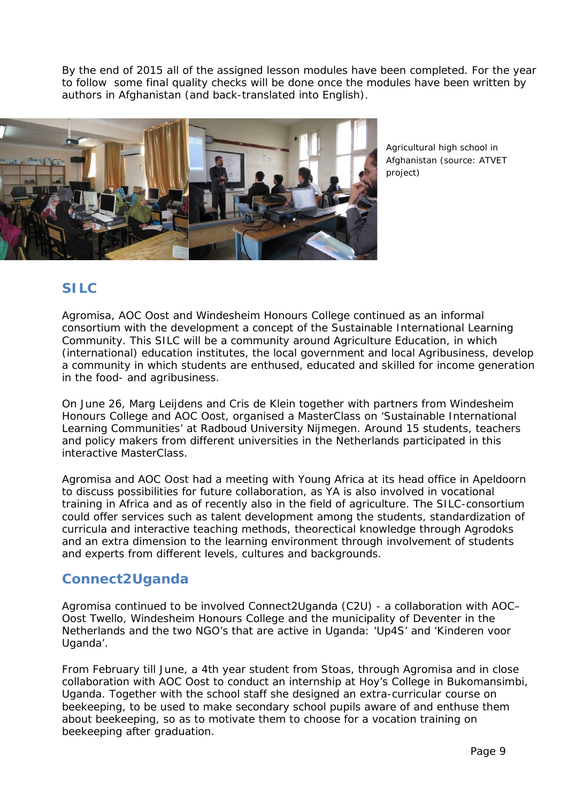By the end of 2015 all of the assigned lesson modules have been completed. For the year to follow some final quality checks will be done once the modules have been written by authors in Afghanistan (and back-translated into English).



Agricultural high school in Afghanistan (source: ATVET project)

# <span id="page-8-1"></span><span id="page-8-0"></span>*SILC*

Agromisa, AOC Oost and Windesheim Honours College continued as an informal consortium with the development a concept of the Sustainable International Learning Community. This SILC will be a community around Agriculture Education, in which (international) education institutes, the local government and local Agribusiness, develop a community in which students are enthused, educated and skilled for income generation in the food- and agribusiness.

On June 26, Marg Leijdens and Cris de Klein together with partners from Windesheim Honours College and AOC Oost, organised a MasterClass on 'Sustainable International Learning Communities' at Radboud University Nijmegen. Around 15 students, teachers and policy makers from different universities in the Netherlands participated in this interactive MasterClass.

Agromisa and AOC Oost had a meeting with Young Africa at its head office in Apeldoorn to discuss possibilities for future collaboration, as YA is also involved in vocational training in Africa and as of recently also in the field of agriculture. The SILC-consortium could offer services such as talent development among the students, standardization of curricula and interactive teaching methods, theorectical knowledge through Agrodoks and an extra dimension to the learning environment through involvement of students and experts from different levels, cultures and backgrounds.

# *Connect2Uganda*

Agromisa continued to be involved Connect2Uganda (C2U) - a collaboration with AOC– Oost Twello, Windesheim Honours College and the municipality of Deventer in the Netherlands and the two NGO's that are active in Uganda: 'Up4S' and 'Kinderen voor Uganda'.

From February till June, a 4th year student from Stoas, through Agromisa and in close collaboration with AOC Oost to conduct an internship at Hoy's College in Bukomansimbi, Uganda. Together with the school staff she designed an extra-curricular course on beekeeping, to be used to make secondary school pupils aware of and enthuse them about beekeeping, so as to motivate them to choose for a vocation training on beekeeping after graduation.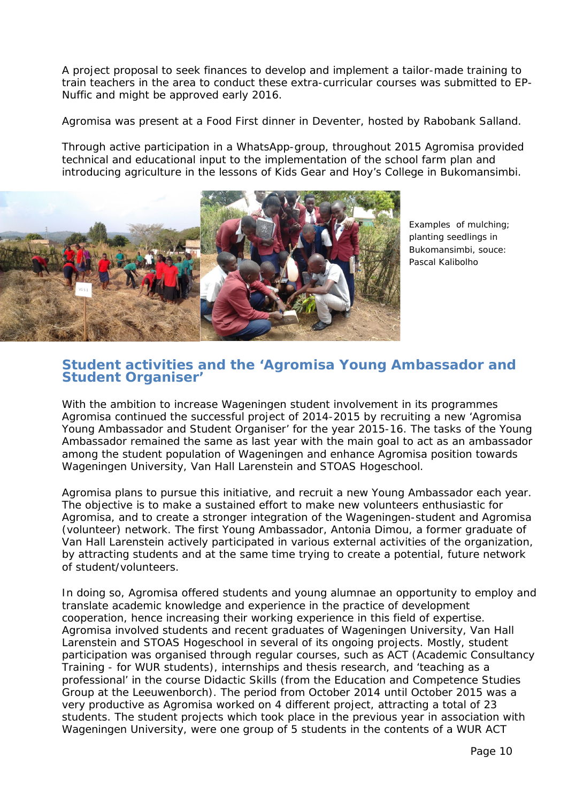A project proposal to seek finances to develop and implement a tailor-made training to train teachers in the area to conduct these extra-curricular courses was submitted to EP-Nuffic and might be approved early 2016.

Agromisa was present at a Food First dinner in Deventer, hosted by Rabobank Salland.

Through active participation in a WhatsApp-group, throughout 2015 Agromisa provided technical and educational input to the implementation of the school farm plan and introducing agriculture in the lessons of Kids Gear and Hoy's College in Bukomansimbi.



Examples of mulching; planting seedlings in Bukomansimbi, souce: Pascal Kalibolho

### <span id="page-9-0"></span>*Student activities and the 'Agromisa Young Ambassador and Student Organiser'*

With the ambition to increase Wageningen student involvement in its programmes Agromisa continued the successful project of 2014-2015 by recruiting a new 'Agromisa Young Ambassador and Student Organiser' for the year 2015-16. The tasks of the Young Ambassador remained the same as last year with the main goal to act as an ambassador among the student population of Wageningen and enhance Agromisa position towards Wageningen University, Van Hall Larenstein and STOAS Hogeschool.

Agromisa plans to pursue this initiative, and recruit a new Young Ambassador each year. The objective is to make a sustained effort to make new volunteers enthusiastic for Agromisa, and to create a stronger integration of the Wageningen-student and Agromisa (volunteer) network. The first Young Ambassador, Antonia Dimou, a former graduate of Van Hall Larenstein actively participated in various external activities of the organization, by attracting students and at the same time trying to create a potential, future network of student/volunteers.

In doing so, Agromisa offered students and young alumnae an opportunity to employ and translate academic knowledge and experience in the practice of development cooperation, hence increasing their working experience in this field of expertise. Agromisa involved students and recent graduates of Wageningen University, Van Hall Larenstein and STOAS Hogeschool in several of its ongoing projects. Mostly, student participation was organised through regular courses, such as ACT (Academic Consultancy Training - for WUR students), internships and thesis research, and 'teaching as a professional' in the course Didactic Skills (from the Education and Competence Studies Group at the Leeuwenborch). The period from October 2014 until October 2015 was a very productive as Agromisa worked on 4 different project, attracting a total of 23 students. The student projects which took place in the previous year in association with Wageningen University, were one group of 5 students in the contents of a WUR ACT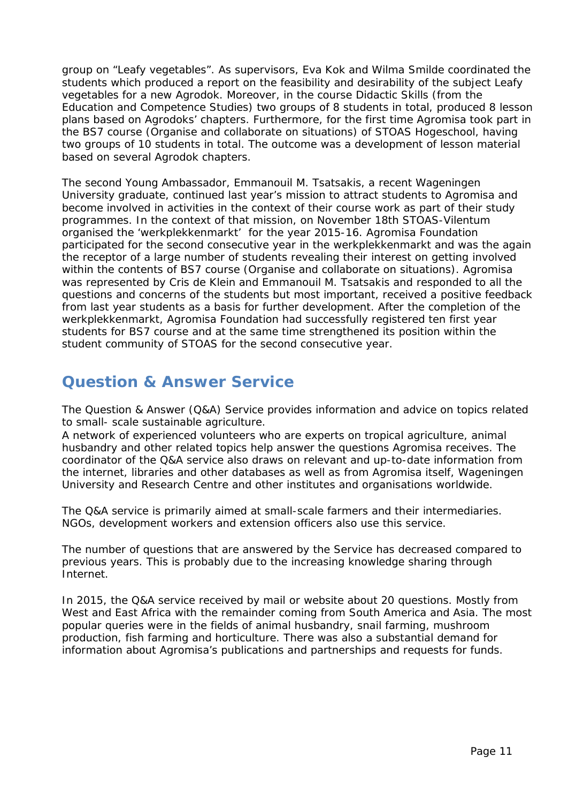group on "Leafy vegetables". As supervisors, Eva Kok and Wilma Smilde coordinated the students which produced a report on the feasibility and desirability of the subject Leafy vegetables for a new Agrodok. Moreover, in the course Didactic Skills (from the Education and Competence Studies) two groups of 8 students in total, produced 8 lesson plans based on Agrodoks' chapters. Furthermore, for the first time Agromisa took part in the BS7 course (Organise and collaborate on situations) of STOAS Hogeschool, having two groups of 10 students in total. The outcome was a development of lesson material based on several Agrodok chapters.

The second Young Ambassador, Emmanouil M. Tsatsakis, a recent Wageningen University graduate, continued last year's mission to attract students to Agromisa and become involved in activities in the context of their course work as part of their study programmes. In the context of that mission, on November 18th STOAS-Vilentum organised the 'werkplekkenmarkt' for the year 2015-16. Agromisa Foundation participated for the second consecutive year in the werkplekkenmarkt and was the again the receptor of a large number of students revealing their interest on getting involved within the contents of BS7 course (Organise and collaborate on situations). Agromisa was represented by Cris de Klein and Emmanouil M. Tsatsakis and responded to all the questions and concerns of the students but most important, received a positive feedback from last year students as a basis for further development. After the completion of the werkplekkenmarkt, Agromisa Foundation had successfully registered ten first year students for BS7 course and at the same time strengthened its position within the student community of STOAS for the second consecutive year.

# <span id="page-10-0"></span>**Question & Answer Service**

The Question & Answer (Q&A) Service provides information and advice on topics related to small- scale sustainable agriculture.

A network of experienced volunteers who are experts on tropical agriculture, animal husbandry and other related topics help answer the questions Agromisa receives. The coordinator of the Q&A service also draws on relevant and up-to-date information from the internet, libraries and other databases as well as from Agromisa itself, Wageningen University and Research Centre and other institutes and organisations worldwide.

The Q&A service is primarily aimed at small-scale farmers and their intermediaries. NGOs, development workers and extension officers also use this service.

The number of questions that are answered by the Service has decreased compared to previous years. This is probably due to the increasing knowledge sharing through Internet.

In 2015, the Q&A service received by mail or website about 20 questions. Mostly from West and East Africa with the remainder coming from South America and Asia. The most popular queries were in the fields of animal husbandry, snail farming, mushroom production, fish farming and horticulture. There was also a substantial demand for information about Agromisa's publications and partnerships and requests for funds.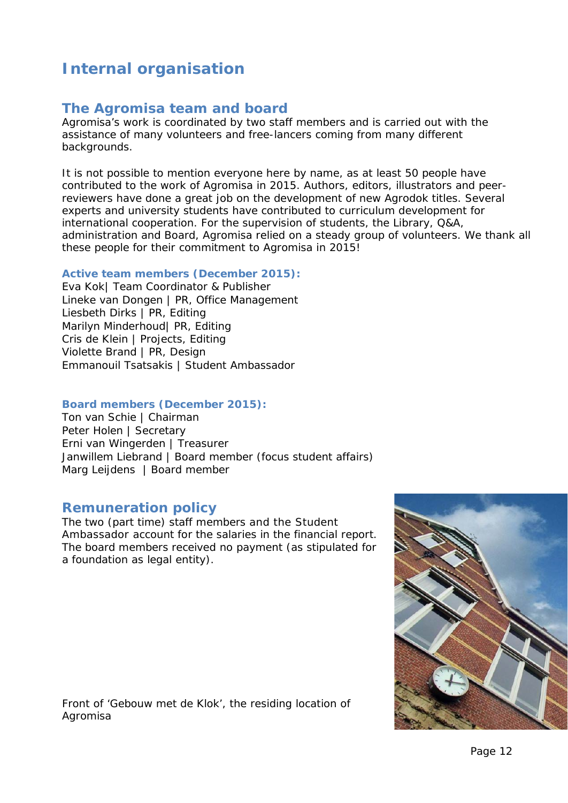# <span id="page-11-0"></span>**Internal organisation**

### <span id="page-11-1"></span>*The Agromisa team and board*

Agromisa's work is coordinated by two staff members and is carried out with the assistance of many volunteers and free-lancers coming from many different backgrounds.

It is not possible to mention everyone here by name, as at least 50 people have contributed to the work of Agromisa in 2015. Authors, editors, illustrators and peerreviewers have done a great job on the development of new Agrodok titles. Several experts and university students have contributed to curriculum development for international cooperation. For the supervision of students, the Library, Q&A, administration and Board, Agromisa relied on a steady group of volunteers. We thank all these people for their commitment to Agromisa in 2015!

### **Active team members (December 2015):**

Eva Kok| Team Coordinator & Publisher Lineke van Dongen | PR, Office Management Liesbeth Dirks | PR, Editing Marilyn Minderhoud| PR, Editing Cris de Klein | Projects, Editing Violette Brand | PR, Design Emmanouil Tsatsakis | Student Ambassador

### **Board members (December 2015):**

Ton van Schie | Chairman Peter Holen | Secretary Erni van Wingerden | Treasurer Janwillem Liebrand | Board member (focus student affairs) Marg Leijdens | Board member

### <span id="page-11-2"></span>*Remuneration policy*

The two (part time) staff members and the Student Ambassador account for the salaries in the financial report. The board members received no payment (as stipulated for a foundation as legal entity).



Front of 'Gebouw met de Klok', the residing location of Agromisa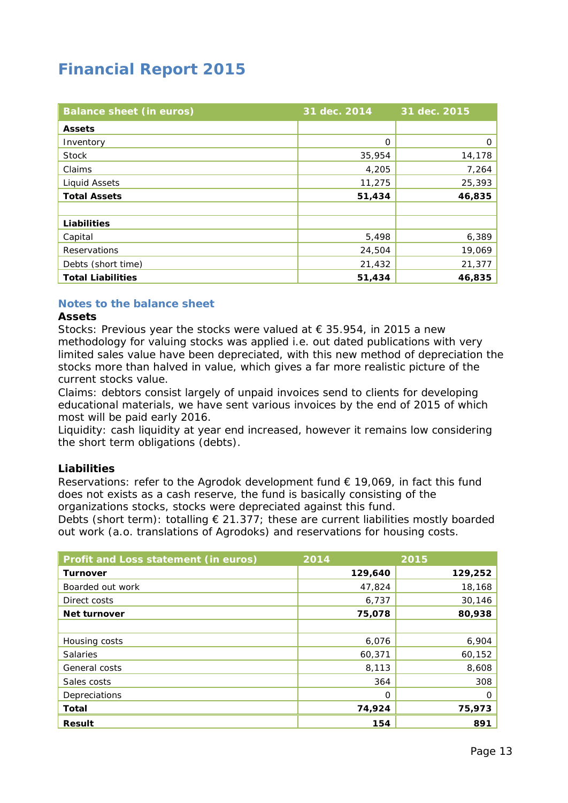# <span id="page-12-0"></span>**Financial Report 2015**

| <b>Balance sheet (in euros)</b> | 31 dec. 2014 | 31 dec. 2015 |
|---------------------------------|--------------|--------------|
| <b>Assets</b>                   |              |              |
| Inventory                       | 0            | 0            |
| Stock                           | 35,954       | 14,178       |
| Claims                          | 4,205        | 7,264        |
| <b>Liquid Assets</b>            | 11,275       | 25,393       |
| <b>Total Assets</b>             | 51,434       | 46,835       |
|                                 |              |              |
| <b>Liabilities</b>              |              |              |
| Capital                         | 5,498        | 6,389        |
| Reservations                    | 24,504       | 19,069       |
| Debts (short time)              | 21,432       | 21,377       |
| <b>Total Liabilities</b>        | 51,434       | 46,835       |

### **Notes to the balance sheet**

### **Assets**

Stocks: Previous year the stocks were valued at  $\epsilon$  35.954, in 2015 a new methodology for valuing stocks was applied i.e. out dated publications with very limited sales value have been depreciated, with this new method of depreciation the stocks more than halved in value, which gives a far more realistic picture of the current stocks value.

Claims: debtors consist largely of unpaid invoices send to clients for developing educational materials, we have sent various invoices by the end of 2015 of which most will be paid early 2016.

Liquidity: cash liquidity at year end increased, however it remains low considering the short term obligations (debts).

### **Liabilities**

Reservations: refer to the Agrodok development fund  $\epsilon$  19,069, in fact this fund does not exists as a cash reserve, the fund is basically consisting of the organizations stocks, stocks were depreciated against this fund.

Debts (short term): totalling  $\epsilon$  21.377; these are current liabilities mostly boarded out work (a.o. translations of Agrodoks) and reservations for housing costs.

| Profit and Loss statement (in euros) | 2014    | 2015    |
|--------------------------------------|---------|---------|
| <b>Turnover</b>                      | 129,640 | 129,252 |
| Boarded out work                     | 47,824  | 18,168  |
| Direct costs                         | 6,737   | 30,146  |
| <b>Net turnover</b>                  | 75,078  | 80,938  |
|                                      |         |         |
| Housing costs                        | 6,076   | 6,904   |
| <b>Salaries</b>                      | 60,371  | 60,152  |
| General costs                        | 8,113   | 8,608   |
| Sales costs                          | 364     | 308     |
| Depreciations                        | O       | O       |
| <b>Total</b>                         | 74,924  | 75,973  |
| <b>Result</b>                        | 154     | 891     |